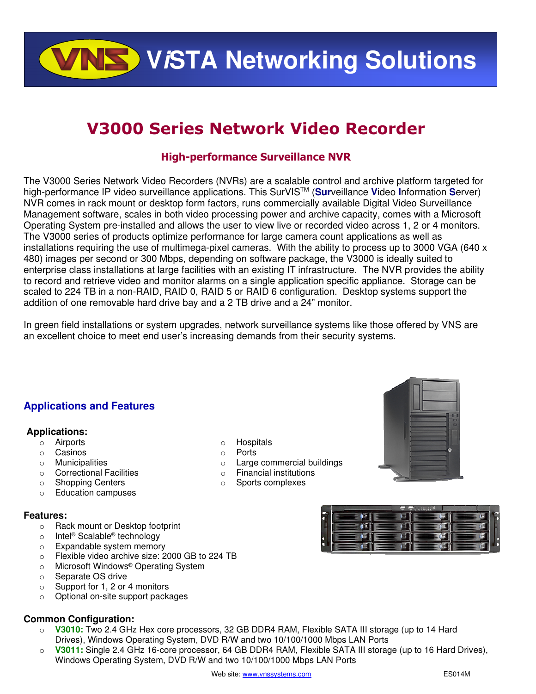**VALS** VISTA Networking Solutions

# **V3000 Series Network Video Recorder**

### **High-performance Surveillance NVR**

The V3000 Series Network Video Recorders (NVRs) are a scalable control and archive platform targeted for high-performance IP video surveillance applications. This SurVISTM (**Sur**veillance **V**ideo **I**nformation **S**erver) NVR comes in rack mount or desktop form factors, runs commercially available Digital Video Surveillance Management software, scales in both video processing power and archive capacity, comes with a Microsoft Operating System pre-installed and allows the user to view live or recorded video across 1, 2 or 4 monitors. The V3000 series of products optimize performance for large camera count applications as well as installations requiring the use of multimega-pixel cameras. With the ability to process up to 3000 VGA (640 x 480) images per second or 300 Mbps, depending on software package, the V3000 is ideally suited to enterprise class installations at large facilities with an existing IT infrastructure. The NVR provides the ability to record and retrieve video and monitor alarms on a single application specific appliance. Storage can be scaled to 224 TB in a non-RAID, RAID 0, RAID 5 or RAID 6 configuration. Desktop systems support the addition of one removable hard drive bay and a 2 TB drive and a 24" monitor.

In green field installations or system upgrades, network surveillance systems like those offered by VNS are an excellent choice to meet end user's increasing demands from their security systems.

> o Hospitals o Ports

o Large commercial buildings o Financial institutions o Sports complexes

## **Applications and Features**

### **Applications:**

- o Airports
- o Casinos
- o Municipalities
- o Correctional Facilities
- o Shopping Centers
- o Education campuses

### **Features:**

- o Rack mount or Desktop footprint
- o Intel® Scalable® technology
- o Expandable system memory
- o Flexible video archive size: 2000 GB to 224 TB
- o Microsoft Windows® Operating System
- o Separate OS drive
- o Support for 1, 2 or 4 monitors
- o Optional on-site support packages

### **Common Configuration:**

- o **V3010:** Two 2.4 GHz Hex core processors, 32 GB DDR4 RAM, Flexible SATA III storage (up to 14 Hard Drives), Windows Operating System, DVD R/W and two 10/100/1000 Mbps LAN Ports
- o **V3011:** Single 2.4 GHz 16-core processor, 64 GB DDR4 RAM, Flexible SATA III storage (up to 16 Hard Drives), Windows Operating System, DVD R/W and two 10/100/1000 Mbps LAN Ports





柱  $\overline{\bullet}$ 信

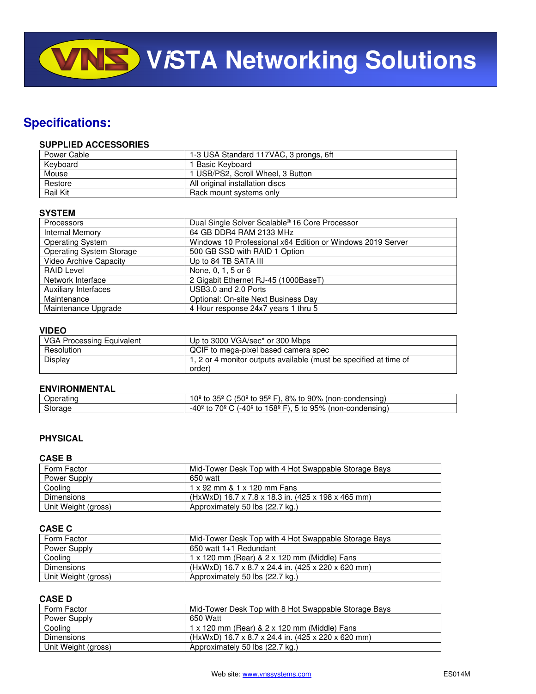**VISTA Networking Solutions** 

# **Specifications:**

### **SUPPLIED ACCESSORIES**

| Power Cable     | 1-3 USA Standard 117VAC, 3 prongs, 6ft |
|-----------------|----------------------------------------|
| Keyboard        | I Basic Kevboard                       |
| Mouse           | 1 USB/PS2, Scroll Wheel, 3 Button      |
| Restore         | All original installation discs        |
| <b>Rail Kit</b> | Rack mount systems only                |

### **SYSTEM**

| Processors                      | Dual Single Solver Scalable <sup>®</sup> 16 Core Processor |
|---------------------------------|------------------------------------------------------------|
| <b>Internal Memory</b>          | 64 GB DDR4 RAM 2133 MHz                                    |
| <b>Operating System</b>         | Windows 10 Professional x64 Edition or Windows 2019 Server |
| <b>Operating System Storage</b> | 500 GB SSD with RAID 1 Option                              |
| <b>Video Archive Capacity</b>   | Up to 84 TB SATA III                                       |
| <b>RAID Level</b>               | None, 0, 1, 5 or 6                                         |
| Network Interface               | 2 Gigabit Ethernet RJ-45 (1000BaseT)                       |
| <b>Auxiliary Interfaces</b>     | USB3.0 and 2.0 Ports                                       |
| Maintenance                     | Optional: On-site Next Business Day                        |
| Maintenance Upgrade             | 4 Hour response 24x7 years 1 thru 5                        |

### **VIDEO**

| <b>VGA Processing Equivalent</b> | Up to 3000 VGA/sec* or 300 Mbps                                   |
|----------------------------------|-------------------------------------------------------------------|
| Resolution                       | QCIF to mega-pixel based camera spec                              |
| Display                          | 1, 2 or 4 monitor outputs available (must be specified at time of |
|                                  | order)                                                            |

### **ENVIRONMENTAL**

| .<br>mer<br>чашк | $\mathbf{a} = \mathbf{a}$<br>50°<br>90%<br>.0º<br>$8\%$ to<br>condensing)<br>ﯩﺪ<br>nnon-c<br>to<br>്95്<br>. .<br>το<br>ື<br>. . |
|------------------|----------------------------------------------------------------------------------------------------------------------------------|
| Storage          | 158º<br>0 ∩ ا<br>70°<br>4∩≙′<br>95%<br>-condensing)<br>'non-c<br>to<br>to<br>to<br>— 1 →<br>-4 U                                 |

### **PHYSICAL**

### **CASE B**

| Form Factor         | Mid-Tower Desk Top with 4 Hot Swappable Storage Bays |
|---------------------|------------------------------------------------------|
| Power Supply        | 650 watt                                             |
| Cooling             | 1 x 92 mm & 1 x 120 mm Fans                          |
| Dimensions          | (HxWxD) 16.7 x 7.8 x 18.3 in. (425 x 198 x 465 mm)   |
| Unit Weight (gross) | Approximately 50 lbs (22.7 kg.)                      |

### **CASE C**

| Form Factor         | Mid-Tower Desk Top with 4 Hot Swappable Storage Bays |
|---------------------|------------------------------------------------------|
| Power Supply        | 650 watt 1+1 Redundant                               |
| Cooling             | 1 x 120 mm (Rear) & 2 x 120 mm (Middle) Fans         |
| Dimensions          | (HxWxD) 16.7 x 8.7 x 24.4 in. (425 x 220 x 620 mm)   |
| Unit Weight (gross) | Approximately 50 lbs (22.7 kg.)                      |

### **CASE D**

| Form Factor         | Mid-Tower Desk Top with 8 Hot Swappable Storage Bays |
|---------------------|------------------------------------------------------|
| Power Supply        | 650 Watt                                             |
| Cooling             | 1 x 120 mm (Rear) & 2 x 120 mm (Middle) Fans         |
| <b>Dimensions</b>   | (HxWxD) 16.7 x 8.7 x 24.4 in. (425 x 220 x 620 mm)   |
| Unit Weight (gross) | Approximately 50 lbs (22.7 kg.)                      |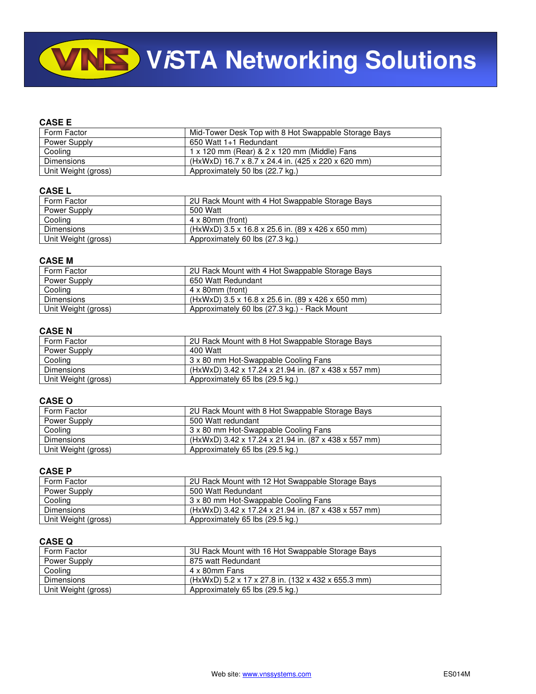# **VINS** VISTA Networking Solutions

### **CASE E**

| Form Factor         | Mid-Tower Desk Top with 8 Hot Swappable Storage Bays |
|---------------------|------------------------------------------------------|
| Power Supply        | 650 Watt 1+1 Redundant                               |
| Cooling             | 1 x 120 mm (Rear) & 2 x 120 mm (Middle) Fans         |
| <b>Dimensions</b>   | (HxWxD) 16.7 x 8.7 x 24.4 in. (425 x 220 x 620 mm)   |
| Unit Weight (gross) | Approximately 50 lbs (22.7 kg.)                      |

#### **CASE L**

| Form Factor         | 2U Rack Mount with 4 Hot Swappable Storage Bays   |
|---------------------|---------------------------------------------------|
| Power Supply        | 500 Watt                                          |
| Cooling             | $4 \times 80$ mm (front)                          |
| <b>Dimensions</b>   | (HxWxD) 3.5 x 16.8 x 25.6 in. (89 x 426 x 650 mm) |
| Unit Weight (gross) | Approximately 60 lbs (27.3 kg.)                   |

### **CASE M**

| Form Factor         | 2U Rack Mount with 4 Hot Swappable Storage Bays   |
|---------------------|---------------------------------------------------|
| Power Supply        | 650 Watt Redundant                                |
| Cooling             | $4 \times 80$ mm (front)                          |
| <b>Dimensions</b>   | (HxWxD) 3.5 x 16.8 x 25.6 in. (89 x 426 x 650 mm) |
| Unit Weight (gross) | Approximately 60 lbs (27.3 kg.) - Rack Mount      |

### **CASE N**

| Form Factor         | 2U Rack Mount with 8 Hot Swappable Storage Bays      |
|---------------------|------------------------------------------------------|
| Power Supply        | 400 Watt                                             |
| Cooling             | 3 x 80 mm Hot-Swappable Cooling Fans                 |
| Dimensions          | (HxWxD) 3.42 x 17.24 x 21.94 in. (87 x 438 x 557 mm) |
| Unit Weight (gross) | Approximately 65 lbs (29.5 kg.)                      |

### **CASE O**

| Form Factor         | 2U Rack Mount with 8 Hot Swappable Storage Bays      |
|---------------------|------------------------------------------------------|
| Power Supply        | 500 Watt redundant                                   |
| Cooling             | 3 x 80 mm Hot-Swappable Cooling Fans                 |
| Dimensions          | (HxWxD) 3.42 x 17.24 x 21.94 in. (87 x 438 x 557 mm) |
| Unit Weight (gross) | Approximately 65 lbs (29.5 kg.)                      |

### **CASE P**

| Form Factor         | 2U Rack Mount with 12 Hot Swappable Storage Bays     |
|---------------------|------------------------------------------------------|
| Power Supply        | 500 Watt Redundant                                   |
| Cooling             | 3 x 80 mm Hot-Swappable Cooling Fans                 |
| Dimensions          | (HxWxD) 3.42 x 17.24 x 21.94 in. (87 x 438 x 557 mm) |
| Unit Weight (gross) | Approximately 65 lbs (29.5 kg.)                      |

### **CASE Q**

| Form Factor         | 3U Rack Mount with 16 Hot Swappable Storage Bays   |
|---------------------|----------------------------------------------------|
| Power Supply        | 875 watt Redundant                                 |
| Cooling             | 4 x 80mm Fans                                      |
| <b>Dimensions</b>   | (HxWxD) 5.2 x 17 x 27.8 in. (132 x 432 x 655.3 mm) |
| Unit Weight (gross) | Approximately 65 lbs (29.5 kg.)                    |